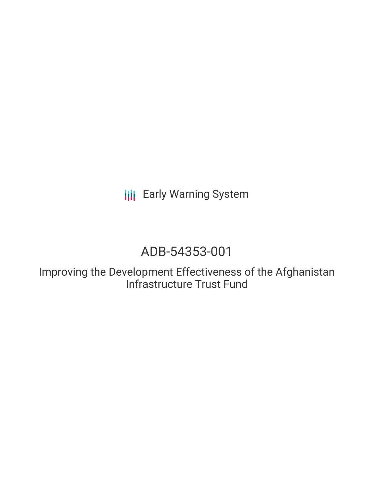**III** Early Warning System

# ADB-54353-001

Improving the Development Effectiveness of the Afghanistan Infrastructure Trust Fund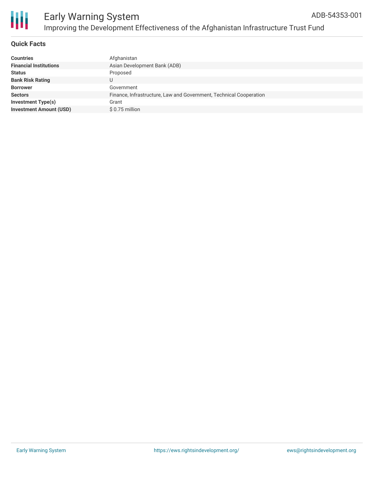



## **Quick Facts**

| <b>Countries</b>               | Afghanistan                                                        |
|--------------------------------|--------------------------------------------------------------------|
| <b>Financial Institutions</b>  | Asian Development Bank (ADB)                                       |
| <b>Status</b>                  | Proposed                                                           |
| <b>Bank Risk Rating</b>        |                                                                    |
| <b>Borrower</b>                | Government                                                         |
| <b>Sectors</b>                 | Finance, Infrastructure, Law and Government, Technical Cooperation |
| <b>Investment Type(s)</b>      | Grant                                                              |
| <b>Investment Amount (USD)</b> | \$0.75 million                                                     |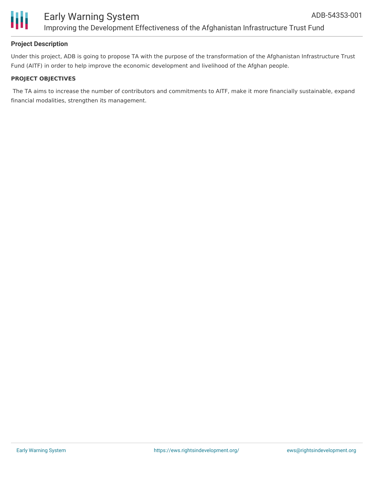

# **Project Description**

Under this project, ADB is going to propose TA with the purpose of the transformation of the Afghanistan Infrastructure Trust Fund (AITF) in order to help improve the economic development and livelihood of the Afghan people.

## **PROJECT OBJECTIVES**

The TA aims to increase the number of contributors and commitments to AITF, make it more financially sustainable, expand financial modalities, strengthen its management.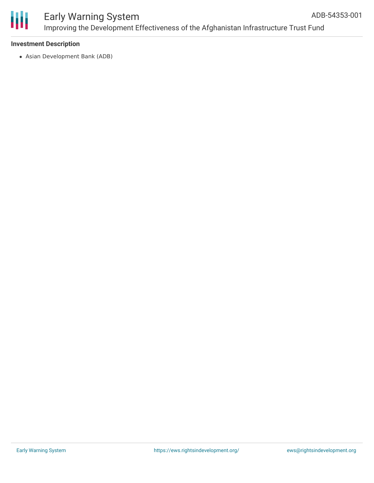

#### **Investment Description**

Asian Development Bank (ADB)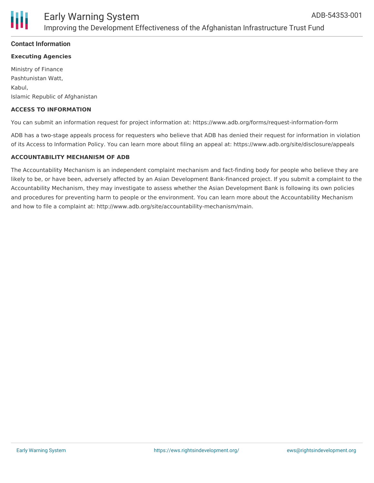

#### **Contact Information**

#### **Executing Agencies**

Ministry of Finance Pashtunistan Watt, Kabul, Islamic Republic of Afghanistan

#### **ACCESS TO INFORMATION**

You can submit an information request for project information at: https://www.adb.org/forms/request-information-form

ADB has a two-stage appeals process for requesters who believe that ADB has denied their request for information in violation of its Access to Information Policy. You can learn more about filing an appeal at: https://www.adb.org/site/disclosure/appeals

#### **ACCOUNTABILITY MECHANISM OF ADB**

The Accountability Mechanism is an independent complaint mechanism and fact-finding body for people who believe they are likely to be, or have been, adversely affected by an Asian Development Bank-financed project. If you submit a complaint to the Accountability Mechanism, they may investigate to assess whether the Asian Development Bank is following its own policies and procedures for preventing harm to people or the environment. You can learn more about the Accountability Mechanism and how to file a complaint at: http://www.adb.org/site/accountability-mechanism/main.